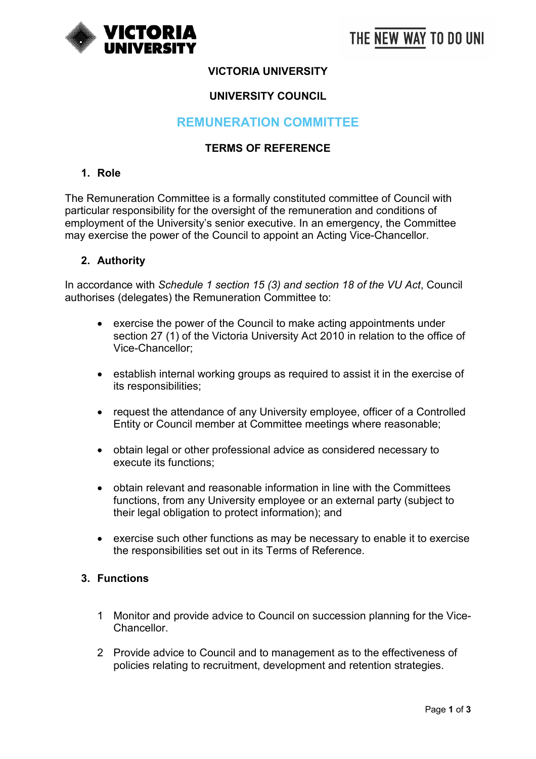

## **VICTORIA UNIVERSITY**

### **UNIVERSITY COUNCIL**

# **REMUNERATION COMMITTEE**

### **TERMS OF REFERENCE**

### **1. Role**

The Remuneration Committee is a formally constituted committee of Council with particular responsibility for the oversight of the remuneration and conditions of employment of the University's senior executive. In an emergency, the Committee may exercise the power of the Council to appoint an Acting Vice-Chancellor.

#### **2. Authority**

In accordance with *Schedule 1 section 15 (3) and section 18 of the VU Act*, Council authorises (delegates) the Remuneration Committee to:

- exercise the power of the Council to make acting appointments under section 27 (1) of the Victoria University Act 2010 in relation to the office of Vice-Chancellor;
- establish internal working groups as required to assist it in the exercise of its responsibilities;
- request the attendance of any University employee, officer of a Controlled Entity or Council member at Committee meetings where reasonable;
- obtain legal or other professional advice as considered necessary to execute its functions;
- obtain relevant and reasonable information in line with the Committees functions, from any University employee or an external party (subject to their legal obligation to protect information); and
- exercise such other functions as may be necessary to enable it to exercise the responsibilities set out in its Terms of Reference.

### **3. Functions**

- 1 Monitor and provide advice to Council on succession planning for the Vice-**Chancellor**
- 2 Provide advice to Council and to management as to the effectiveness of policies relating to recruitment, development and retention strategies.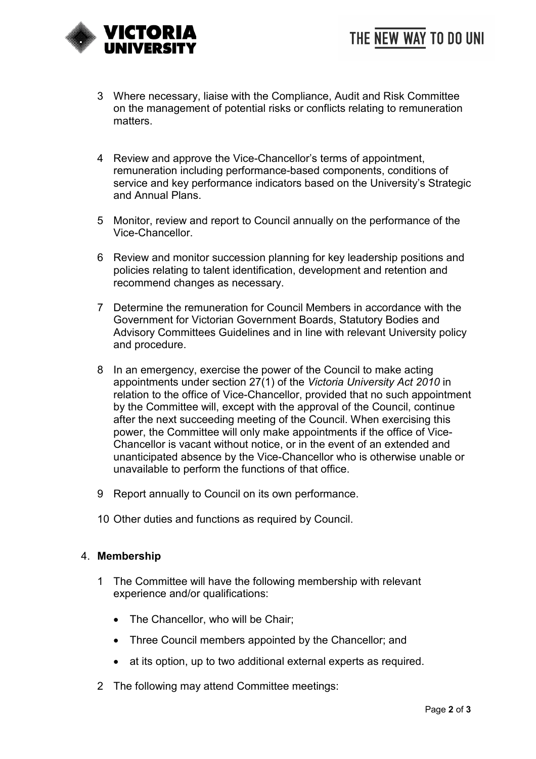

- 3 Where necessary, liaise with the Compliance, Audit and Risk Committee on the management of potential risks or conflicts relating to remuneration matters.
- 4 Review and approve the Vice-Chancellor's terms of appointment, remuneration including performance-based components, conditions of service and key performance indicators based on the University's Strategic and Annual Plans.
- 5 Monitor, review and report to Council annually on the performance of the Vice-Chancellor.
- 6 Review and monitor succession planning for key leadership positions and policies relating to talent identification, development and retention and recommend changes as necessary.
- 7 Determine the remuneration for Council Members in accordance with the Government for Victorian Government Boards, Statutory Bodies and Advisory Committees Guidelines and in line with relevant University policy and procedure.
- 8 In an emergency, exercise the power of the Council to make acting appointments under section 27(1) of the *Victoria University Act 2010* in relation to the office of Vice-Chancellor, provided that no such appointment by the Committee will, except with the approval of the Council, continue after the next succeeding meeting of the Council. When exercising this power, the Committee will only make appointments if the office of Vice-Chancellor is vacant without notice, or in the event of an extended and unanticipated absence by the Vice-Chancellor who is otherwise unable or unavailable to perform the functions of that office.
- 9 Report annually to Council on its own performance.
- 10 Other duties and functions as required by Council.

#### 4. **Membership**

- 1 The Committee will have the following membership with relevant experience and/or qualifications:
	- The Chancellor, who will be Chair;
	- Three Council members appointed by the Chancellor; and
	- at its option, up to two additional external experts as required.
- 2 The following may attend Committee meetings: